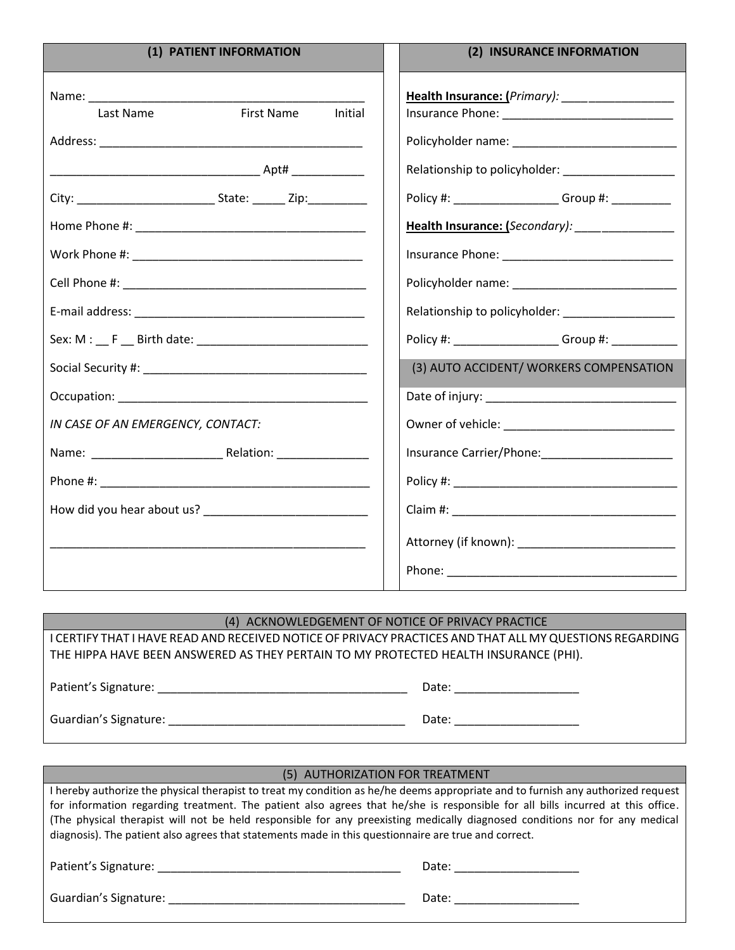| (1) PATIENT INFORMATION                   | (2) INSURANCE INFORMATION                          |  |
|-------------------------------------------|----------------------------------------------------|--|
| <b>First Name</b><br>Initial<br>Last Name |                                                    |  |
|                                           |                                                    |  |
|                                           | Policy #: _____________________Group #: __________ |  |
|                                           | Health Insurance: (Secondary): ________________    |  |
|                                           |                                                    |  |
|                                           |                                                    |  |
|                                           |                                                    |  |
|                                           | Policy #: ____________________Group #: ___________ |  |
|                                           | (3) AUTO ACCIDENT/ WORKERS COMPENSATION            |  |
| IN CASE OF AN EMERGENCY, CONTACT:         |                                                    |  |
|                                           |                                                    |  |
|                                           |                                                    |  |
|                                           |                                                    |  |

## (4) ACKNOWLEDGEMENT OF NOTICE OF PRIVACY PRACTICE

I CERTIFY THAT I HAVE READ AND RECEIVED NOTICE OF PRIVACY PRACTICES AND THAT ALL MY QUESTIONS REGARDING THE HIPPA HAVE BEEN ANSWERED AS THEY PERTAIN TO MY PROTECTED HEALTH INSURANCE (PHI).

Patient's Signature: \_\_\_\_\_\_\_\_\_\_\_\_\_\_\_\_\_\_\_\_\_\_\_\_\_\_\_\_\_\_\_\_\_\_\_\_\_\_ Date: \_\_\_\_\_\_\_\_\_\_\_\_\_\_\_\_\_\_\_ Guardian's Signature: \_\_\_\_\_\_\_\_\_\_\_\_\_\_\_\_\_\_\_\_\_\_\_\_\_\_\_\_\_\_\_\_\_\_\_\_ Date: \_\_\_\_\_\_\_\_\_\_\_\_\_\_\_\_\_\_\_

| (5) AUTHORIZATION FOR TREATMENT                                                                                                                                                                                                                                    |       |  |  |  |
|--------------------------------------------------------------------------------------------------------------------------------------------------------------------------------------------------------------------------------------------------------------------|-------|--|--|--|
| I hereby authorize the physical therapist to treat my condition as he/he deems appropriate and to furnish any authorized request<br>for information regarding treatment. The patient also agrees that he/she is responsible for all bills incurred at this office. |       |  |  |  |
| (The physical therapist will not be held responsible for any preexisting medically diagnosed conditions nor for any medical<br>diagnosis). The patient also agrees that statements made in this questionnaire are true and correct.                                |       |  |  |  |
| Patient's Signature: The contract of the contract of the contract of the contract of the contract of the contract of the contract of the contract of the contract of the contract of the contract of the contract of the contr                                     | Date: |  |  |  |
| Guardian's Signature:                                                                                                                                                                                                                                              | Date: |  |  |  |